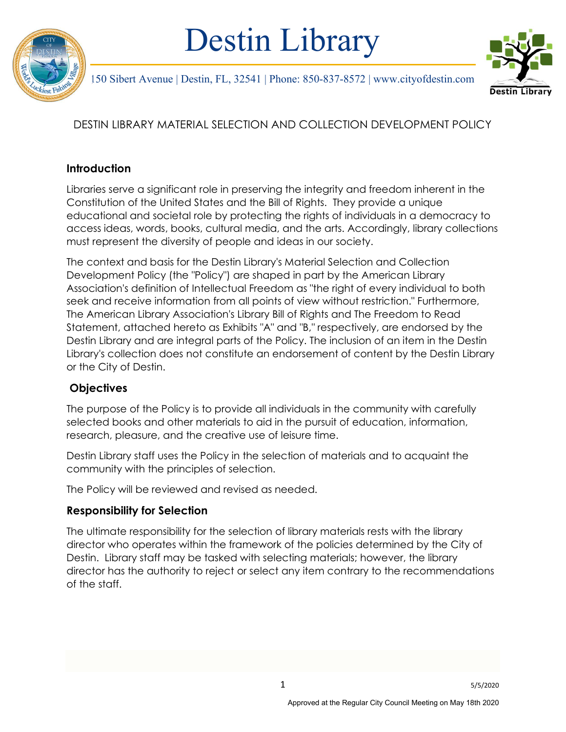

# Destin Library



150 Sibert Avenue | Destin, FL, 32541 | Phone: 850-837-8572 | www.cityofdestin.com

## DESTIN LIBRARY MATERIAL SELECTION AND COLLECTION DEVELOPMENT POLICY

## **Introduction**

Libraries serve a significant role in preserving the integrity and freedom inherent in the Constitution of the United States and the Bill of Rights. They provide a unique educational and societal role by protecting the rights of individuals in a democracy to access ideas, words, books, cultural media, and the arts. Accordingly, library collections must represent the diversity of people and ideas in our society.

The context and basis for the Destin Library's Material Selection and Collection Development Policy (the "Policy") are shaped in part by the American Library Association's definition of Intellectual Freedom as "the right of every individual to both seek and receive information from all points of view without restriction." Furthermore, The American Library Association's Library Bill of Rights and The Freedom to Read Statement, attached hereto as Exhibits "A" and "B," respectively, are endorsed by the Destin Library and are integral parts of the Policy. The inclusion of an item in the Destin Library's collection does not constitute an endorsement of content by the Destin Library or the City of Destin.

## **Objectives**

The purpose of the Policy is to provide all individuals in the community with carefully selected books and other materials to aid in the pursuit of education, information, research, pleasure, and the creative use of leisure time.

Destin Library staff uses the Policy in the selection of materials and to acquaint the community with the principles of selection.

The Policy will be reviewed and revised as needed.

## Responsibility for Selection

The ultimate responsibility for the selection of library materials rests with the library director who operates within the framework of the policies determined by the City of Destin. Library staff may be tasked with selecting materials; however, the library director has the authority to reject or select any item contrary to the recommendations of the staff.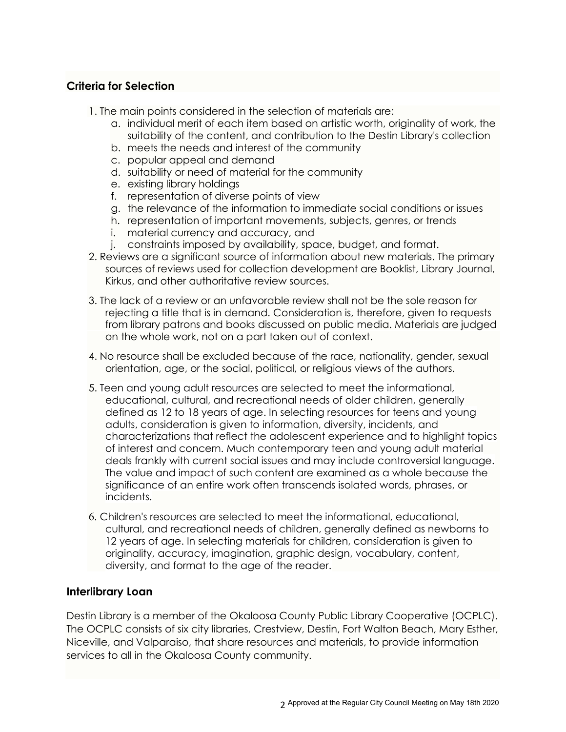#### Criteria for Selection

- 1. The main points considered in the selection of materials are:
	- a. individual merit of each item based on artistic worth, originality of work, the suitability of the content, and contribution to the Destin Library's collection
	- b. meets the needs and interest of the community
	- c. popular appeal and demand
	- d. suitability or need of material for the community
	- e. existing library holdings
	- f. representation of diverse points of view
	- g. the relevance of the information to immediate social conditions or issues
	- h. representation of important movements, subjects, genres, or trends
	- i. material currency and accuracy, and
	- j. constraints imposed by availability, space, budget, and format.
- 2. Reviews are a significant source of information about new materials. The primary sources of reviews used for collection development are Booklist, Library Journal, Kirkus, and other authoritative review sources.
- 3. The lack of a review or an unfavorable review shall not be the sole reason for rejecting a title that is in demand. Consideration is, therefore, given to requests from library patrons and books discussed on public media. Materials are judged on the whole work, not on a part taken out of context.
- 4. No resource shall be excluded because of the race, nationality, gender, sexual orientation, age, or the social, political, or religious views of the authors.
- 5. Teen and young adult resources are selected to meet the informational, educational, cultural, and recreational needs of older children, generally defined as 12 to 18 years of age. In selecting resources for teens and young adults, consideration is given to information, diversity, incidents, and characterizations that reflect the adolescent experience and to highlight topics of interest and concern. Much contemporary teen and young adult material deals frankly with current social issues and may include controversial language. The value and impact of such content are examined as a whole because the significance of an entire work often transcends isolated words, phrases, or incidents.
- 6. Children's resources are selected to meet the informational, educational, cultural, and recreational needs of children, generally defined as newborns to 12 years of age. In selecting materials for children, consideration is given to originality, accuracy, imagination, graphic design, vocabulary, content, diversity, and format to the age of the reader.

#### Interlibrary Loan

Destin Library is a member of the Okaloosa County Public Library Cooperative (OCPLC). The OCPLC consists of six city libraries, Crestview, Destin, Fort Walton Beach, Mary Esther, Niceville, and Valparaiso, that share resources and materials, to provide information services to all in the Okaloosa County community.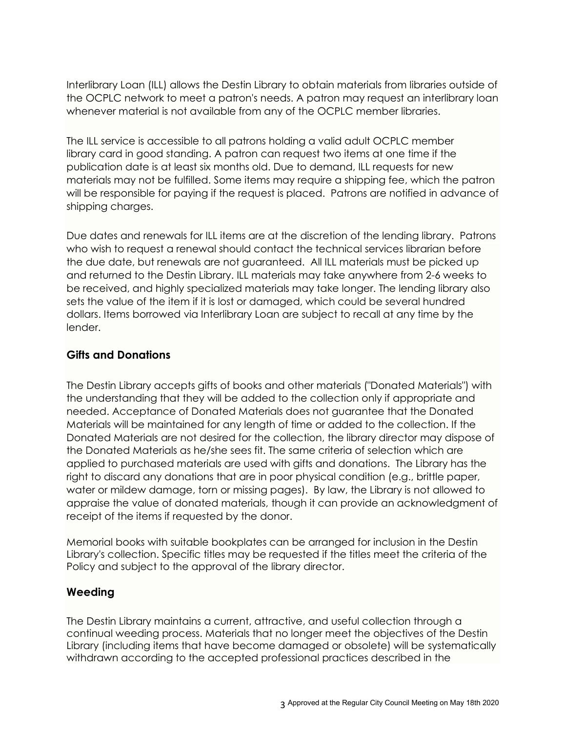Interlibrary Loan (ILL) allows the Destin Library to obtain materials from libraries outside of the OCPLC network to meet a patron's needs. A patron may request an interlibrary loan whenever material is not available from any of the OCPLC member libraries.

The ILL service is accessible to all patrons holding a valid adult OCPLC member library card in good standing. A patron can request two items at one time if the publication date is at least six months old. Due to demand, ILL requests for new materials may not be fulfilled. Some items may require a shipping fee, which the patron will be responsible for paying if the request is placed. Patrons are notified in advance of shipping charges.

Due dates and renewals for ILL items are at the discretion of the lending library. Patrons who wish to request a renewal should contact the technical services librarian before the due date, but renewals are not guaranteed. All ILL materials must be picked up and returned to the Destin Library. ILL materials may take anywhere from 2-6 weeks to be received, and highly specialized materials may take longer. The lending library also sets the value of the item if it is lost or damaged, which could be several hundred dollars. Items borrowed via Interlibrary Loan are subject to recall at any time by the lender.

### Gifts and Donations

The Destin Library accepts gifts of books and other materials ("Donated Materials") with the understanding that they will be added to the collection only if appropriate and needed. Acceptance of Donated Materials does not guarantee that the Donated Materials will be maintained for any length of time or added to the collection. If the Donated Materials are not desired for the collection, the library director may dispose of the Donated Materials as he/she sees fit. The same criteria of selection which are applied to purchased materials are used with gifts and donations. The Library has the right to discard any donations that are in poor physical condition (e.g., brittle paper, water or mildew damage, torn or missing pages). By law, the Library is not allowed to appraise the value of donated materials, though it can provide an acknowledgment of receipt of the items if requested by the donor.

Memorial books with suitable bookplates can be arranged for inclusion in the Destin Library's collection. Specific titles may be requested if the titles meet the criteria of the Policy and subject to the approval of the library director.

#### Weeding

The Destin Library maintains a current, attractive, and useful collection through a continual weeding process. Materials that no longer meet the objectives of the Destin Library (including items that have become damaged or obsolete) will be systematically withdrawn according to the accepted professional practices described in the